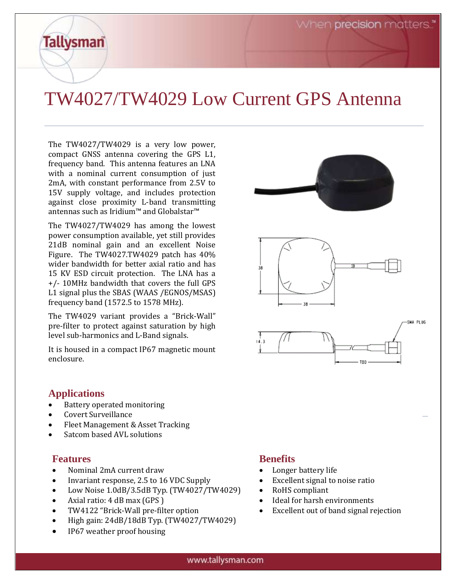# TW4027/TW4029 Low Current GPS Antenna

The TW4027/TW4029 is a very low power, compact GNSS antenna covering the GPS L1, frequency band. This antenna features an LNA with a nominal current consumption of just 2mA, with constant performance from 2.5V to 15V supply voltage, and includes protection against close proximity L-band transmitting antennas such as Iridium™ and Globalstar™

The TW4027/TW4029 has among the lowest power consumption available, yet still provides 21dB nominal gain and an excellent Noise Figure. The TW4027.TW4029 patch has 40% wider bandwidth for better axial ratio and has 15 KV ESD circuit protection. The LNA has a +/- 10MHz bandwidth that covers the full GPS L1 signal plus the SBAS (WAAS /EGNOS/MSAS) frequency band (1572.5 to 1578 MHz).

The TW4029 variant provides a "Brick-Wall" pre-filter to protect against saturation by high level sub-harmonics and L-Band signals.

It is housed in a compact IP67 magnetic mount enclosure.



# **Applications**

**Tallysman** 

- Battery operated monitoring
- Covert Surveillance
- Fleet Management & Asset Tracking
- Satcom based AVL solutions

# **Features**

- Nominal 2mA current draw
- Invariant response, 2.5 to 16 VDC Supply
- Low Noise 1.0dB/3.5dB Typ. (TW4027/TW4029)
- Axial ratio: 4 dB max (GPS )
- TW4122 "Brick-Wall pre-filter option
- High gain: 24dB/18dB Typ. (TW4027/TW4029)
- IP67 weather proof housing

# **Benefits**

- Longer battery life
- Excellent signal to noise ratio
- RoHS compliant
- Ideal for harsh environments
- Excellent out of band signal rejection